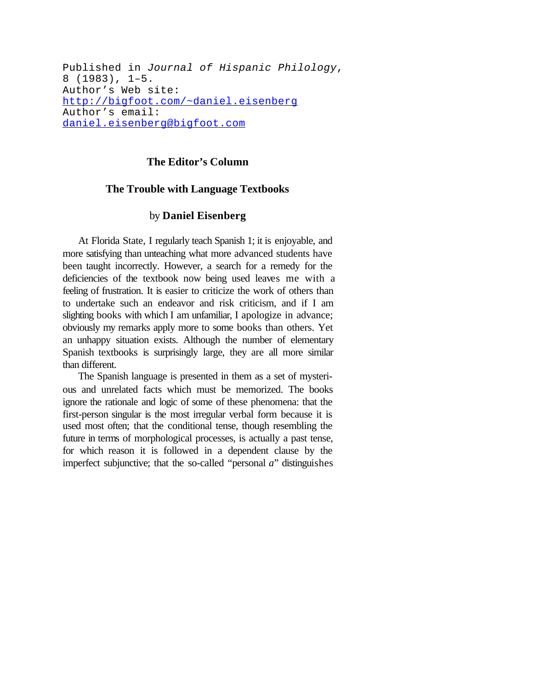Published in *Journal of Hispanic Philology*, 8 (1983), 1–5. Author's Web site: http://bigfoot.com/~daniel.eisenberg Author's email: daniel.eisenberg@bigfoot.com

## **The Editor's Column**

## **The Trouble with Language Textbooks**

## by **Daniel Eisenberg**

At Florida State, I regularly teach Spanish 1; it is enjoyable, and more satisfying than unteaching what more advanced students have been taught incorrectly. However, a search for a remedy for the deficiencies of the textbook now being used leaves me with a feeling of frustration. It is easier to criticize the work of others than to undertake such an endeavor and risk criticism, and if I am slighting books with which I am unfamiliar, I apologize in advance; obviously my remarks apply more to some books than others. Yet an unhappy situation exists. Although the number of elementary Spanish textbooks is surprisingly large, they are all more similar than different.

The Spanish language is presented in them as a set of mysterious and unrelated facts which must be memorized. The books ignore the rationale and logic of some of these phenomena: that the first-person singular is the most irregular verbal form because it is used most often; that the conditional tense, though resembling the future in terms of morphological processes, is actually a past tense, for which reason it is followed in a dependent clause by the imperfect subjunctive; that the so-called "personal *a*" distinguishes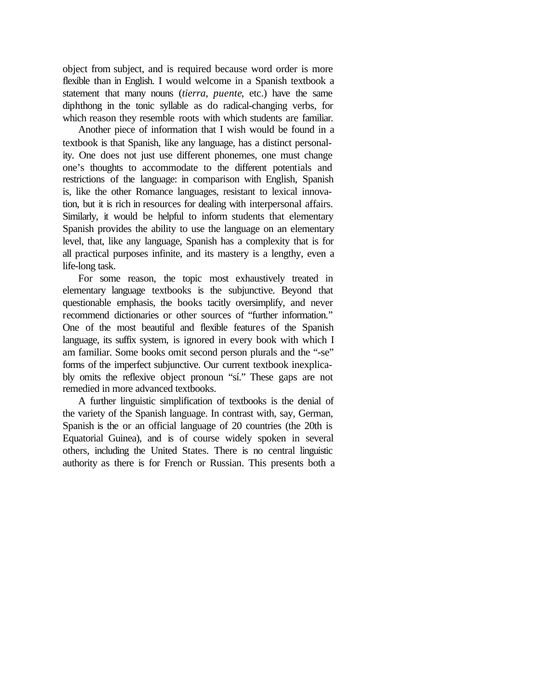object from subject, and is required because word order is more flexible than in English. I would welcome in a Spanish textbook a statement that many nouns (*tierra, puente*, etc.) have the same diphthong in the tonic syllable as do radical-changing verbs, for which reason they resemble roots with which students are familiar.

Another piece of information that I wish would be found in a textbook is that Spanish, like any language, has a distinct personality. One does not just use different phonemes, one must change one's thoughts to accommodate to the different potentials and restrictions of the language: in comparison with English, Spanish is, like the other Romance languages, resistant to lexical innovation, but it is rich in resources for dealing with interpersonal affairs. Similarly, it would be helpful to inform students that elementary Spanish provides the ability to use the language on an elementary level, that, like any language, Spanish has a complexity that is for all practical purposes infinite, and its mastery is a lengthy, even a life-long task.

For some reason, the topic most exhaustively treated in elementary language textbooks is the subjunctive. Beyond that questionable emphasis, the books tacitly oversimplify, and never recommend dictionaries or other sources of "further information." One of the most beautiful and flexible features of the Spanish language, its suffix system, is ignored in every book with which I am familiar. Some books omit second person plurals and the "-se" forms of the imperfect subjunctive. Our current textbook inexplicably omits the reflexive object pronoun "sí." These gaps are not remedied in more advanced textbooks.

A further linguistic simplification of textbooks is the denial of the variety of the Spanish language. In contrast with, say, German, Spanish is the or an official language of 20 countries (the 20th is Equatorial Guinea), and is of course widely spoken in several others, including the United States. There is no central linguistic authority as there is for French or Russian. This presents both a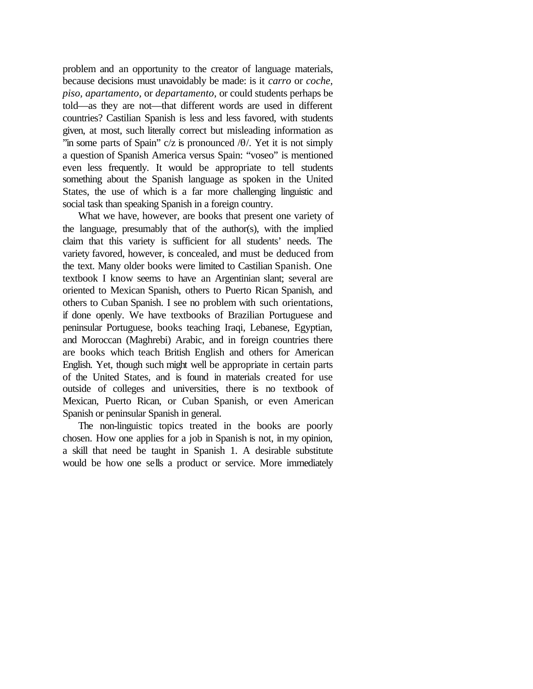problem and an opportunity to the creator of language materials, because decisions must unavoidably be made: is it *carro* or *coche, piso, apartamento,* or *departamento,* or could students perhaps be told—as they are not—that different words are used in different countries? Castilian Spanish is less and less favored, with students given, at most, such literally correct but misleading information as "in some parts of Spain"  $c/z$  is pronounced  $\theta$ . Yet it is not simply a question of Spanish America versus Spain: "voseo" is mentioned even less frequently. It would be appropriate to tell students something about the Spanish language as spoken in the United States, the use of which is a far more challenging linguistic and social task than speaking Spanish in a foreign country.

What we have, however, are books that present one variety of the language, presumably that of the author(s), with the implied claim that this variety is sufficient for all students' needs. The variety favored, however, is concealed, and must be deduced from the text. Many older books were limited to Castilian Spanish. One textbook I know seems to have an Argentinian slant; several are oriented to Mexican Spanish, others to Puerto Rican Spanish, and others to Cuban Spanish. I see no problem with such orientations, if done openly. We have textbooks of Brazilian Portuguese and peninsular Portuguese, books teaching Iraqi, Lebanese, Egyptian, and Moroccan (Maghrebi) Arabic, and in foreign countries there are books which teach British English and others for American English. Yet, though such might well be appropriate in certain parts of the United States, and is found in materials created for use outside of colleges and universities, there is no textbook of Mexican, Puerto Rican, or Cuban Spanish, or even American Spanish or peninsular Spanish in general.

The non-linguistic topics treated in the books are poorly chosen. How one applies for a job in Spanish is not, in my opinion, a skill that need be taught in Spanish 1. A desirable substitute would be how one sells a product or service. More immediately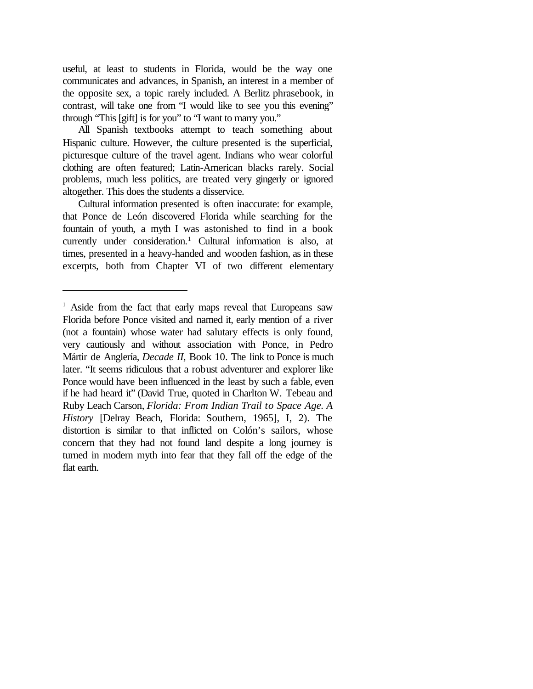useful, at least to students in Florida, would be the way one communicates and advances, in Spanish, an interest in a member of the opposite sex, a topic rarely included. A Berlitz phrasebook, in contrast, will take one from "I would like to see you this evening" through "This [gift] is for you" to "I want to marry you."

All Spanish textbooks attempt to teach something about Hispanic culture. However, the culture presented is the superficial, picturesque culture of the travel agent. Indians who wear colorful clothing are often featured; Latin-American blacks rarely. Social problems, much less politics, are treated very gingerly or ignored altogether. This does the students a disservice.

Cultural information presented is often inaccurate: for example, that Ponce de León discovered Florida while searching for the fountain of youth, a myth I was astonished to find in a book currently under consideration.<sup>1</sup> Cultural information is also, at times, presented in a heavy-handed and wooden fashion, as in these excerpts, both from Chapter VI of two different elementary

<sup>&</sup>lt;sup>1</sup> Aside from the fact that early maps reveal that Europeans saw Florida before Ponce visited and named it, early mention of a river (not a fountain) whose water had salutary effects is only found, very cautiously and without association with Ponce, in Pedro Mártir de Anglería, *Decade II*, Book 10. The link to Ponce is much later. "It seems ridiculous that a robust adventurer and explorer like Ponce would have been influenced in the least by such a fable, even if he had heard it" (David True, quoted in Charlton W. Tebeau and Ruby Leach Carson, *Florida: From Indian Trail to Space Age. A History* [Delray Beach, Florida: Southern, 1965], I, 2). The distortion is similar to that inflicted on Colón's sailors, whose concern that they had not found land despite a long journey is turned in modern myth into fear that they fall off the edge of the flat earth.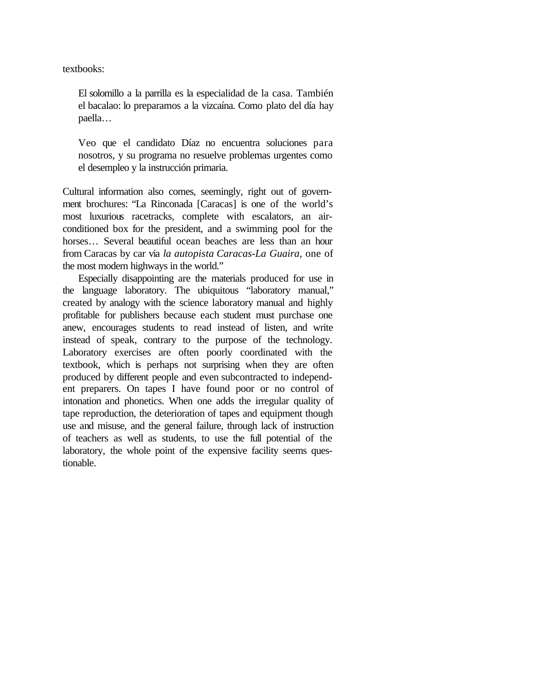textbooks:

El solomillo a la parrilla es la especialidad de la casa. También el bacalao: lo preparamos a la vizcaína. Como plato del día hay paella…

Veo que el candidato Díaz no encuentra soluciones para nosotros, y su programa no resuelve problemas urgentes como el desempleo y la instrucción primaria.

Cultural information also comes, seemingly, right out of government brochures: "La Rinconada [Caracas] is one of the world's most luxurious racetracks, complete with escalators, an airconditioned box for the president, and a swimming pool for the horses... Several beautiful ocean beaches are less than an hour from Caracas by car via *la autopista Caracas-La Guaira,* one of the most modern highways in the world."

Especially disappointing are the materials produced for use in the language laboratory. The ubiquitous "laboratory manual," created by analogy with the science laboratory manual and highly profitable for publishers because each student must purchase one anew, encourages students to read instead of listen, and write instead of speak, contrary to the purpose of the technology. Laboratory exercises are often poorly coordinated with the textbook, which is perhaps not surprising when they are often produced by different people and even subcontracted to independent preparers. On tapes I have found poor or no control of intonation and phonetics. When one adds the irregular quality of tape reproduction, the deterioration of tapes and equipment though use and misuse, and the general failure, through lack of instruction of teachers as well as students, to use the full potential of the laboratory, the whole point of the expensive facility seems questionable.